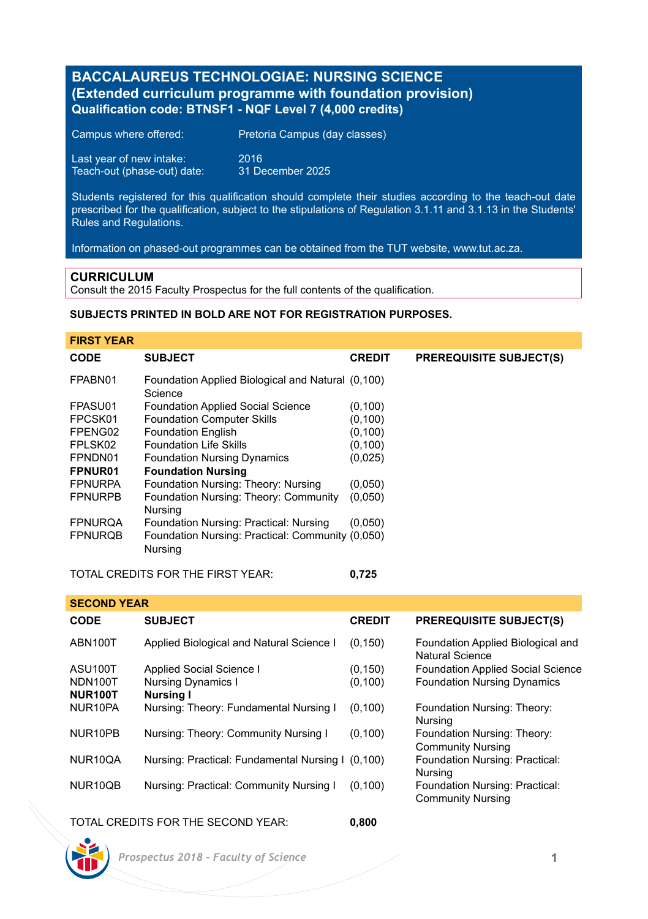# **BACCALAUREUS TECHNOLOGIAE: NURSING SCIENCE (Extended curriculum programme with foundation provision) Qualification code: BTNSF1 - NQF Level 7 (4,000 credits)**

| Campus where offered:       | Pretoria Campus (day classes) |
|-----------------------------|-------------------------------|
| Last year of new intake:    | 2016                          |
| Teach-out (phase-out) date: | 31 December 2025              |

Students registered for this qualification should complete their studies according to the teach-out date prescribed for the qualification, subject to the stipulations of Regulation 3.1.11 and 3.1.13 in the Students' Rules and Regulations.

Information on phased-out programmes can be obtained from the TUT website, www.tut.ac.za.

### **CURRICULUM**

Consult the 2015 Faculty Prospectus for the full contents of the qualification.

# **SUBJECTS PRINTED IN BOLD ARE NOT FOR REGISTRATION PURPOSES.**

# **FIRST YEAR**

| <b>CODE</b>    | <b>SUBJECT</b>                                               | <b>CREDIT</b> | <b>PREREQUISITE SUBJECT(S)</b> |
|----------------|--------------------------------------------------------------|---------------|--------------------------------|
| FPABN01        | Foundation Applied Biological and Natural (0,100)<br>Science |               |                                |
| FPASU01        | <b>Foundation Applied Social Science</b>                     | (0, 100)      |                                |
| FPCSK01        | <b>Foundation Computer Skills</b>                            | (0, 100)      |                                |
| FPENG02        | <b>Foundation English</b>                                    | (0, 100)      |                                |
| FPLSK02        | <b>Foundation Life Skills</b>                                | (0, 100)      |                                |
| FPNDN01        | <b>Foundation Nursing Dynamics</b>                           | (0,025)       |                                |
| FPNUR01        | <b>Foundation Nursing</b>                                    |               |                                |
| <b>FPNURPA</b> | Foundation Nursing: Theory: Nursing                          | (0,050)       |                                |
| <b>FPNURPB</b> | Foundation Nursing: Theory: Community<br>Nursina             | (0,050)       |                                |
| <b>FPNURQA</b> | Foundation Nursing: Practical: Nursing                       | (0.050)       |                                |
| <b>FPNURQB</b> | Foundation Nursing: Practical: Community (0,050)<br>Nursing  |               |                                |

# TOTAL CREDITS FOR THE FIRST YEAR: **0,725**

**SECOND YEAR CODE SUBJECT CREDIT PREREQUISITE SUBJECT(S)** ABN100T Applied Biological and Natural Science I (0,150) Foundation Applied Biological and Natural Science ASU100T Applied Social Science I (0,150) Foundation Applied Social Science<br>
NDN100T Nursing Dynamics I (0,100) Foundation Nursing Dynamics Foundation Nursing Dynamics **NUR100T Nursing I** Nursing: Theory: Fundamental Nursing I (0,100) Foundation Nursing: Theory: Nursing<br>Foundation Nursing: Theory: NUR10PB Nursing: Theory: Community Nursing I (0,100) Community Nursing NUR10QA Nursing: Practical: Fundamental Nursing I (0,100) Foundation Nursing: Practical: Nursing<br>Foundation Nursing: Practical: NUR10QB Nursing: Practical: Community Nursing I (0,100) Community Nursing

# TOTAL CREDITS FOR THE SECOND YEAR: **0,800**

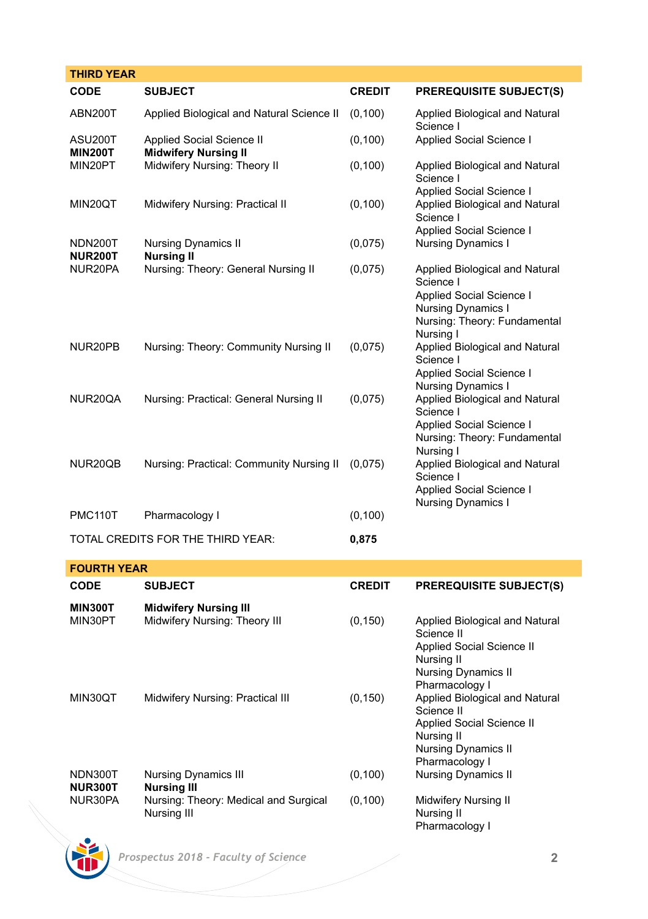| <b>THIRD YEAR</b>                 |                                                          |               |                                                       |
|-----------------------------------|----------------------------------------------------------|---------------|-------------------------------------------------------|
| CODE                              | <b>SUBJECT</b>                                           | <b>CREDIT</b> | <b>PREREQUISITE SUBJECT(S)</b>                        |
| ABN200T                           | Applied Biological and Natural Science II                | (0, 100)      | Applied Biological and Natural<br>Science I           |
| ASU200T<br><b>MIN200T</b>         | Applied Social Science II<br><b>Midwifery Nursing II</b> | (0, 100)      | Applied Social Science I                              |
| MIN20PT                           | Midwifery Nursing: Theory II                             | (0, 100)      | Applied Biological and Natural<br>Science I           |
|                                   |                                                          |               | Applied Social Science I                              |
| MIN20OT                           | Midwifery Nursing: Practical II                          | (0, 100)      | Applied Biological and Natural<br>Science I           |
|                                   |                                                          |               | Applied Social Science I                              |
| NDN200T<br><b>NUR200T</b>         | <b>Nursing Dynamics II</b><br><b>Nursing II</b>          | (0,075)       | <b>Nursing Dynamics I</b>                             |
| NUR20PA                           | Nursing: Theory: General Nursing II                      | (0,075)       | Applied Biological and Natural<br>Science I           |
|                                   |                                                          |               | Applied Social Science I                              |
|                                   |                                                          |               | <b>Nursing Dynamics I</b>                             |
|                                   |                                                          |               | Nursing: Theory: Fundamental                          |
| NUR20PB                           | Nursing: Theory: Community Nursing II                    | (0,075)       | Nursing I<br>Applied Biological and Natural           |
|                                   |                                                          |               | Science I                                             |
|                                   |                                                          |               | Applied Social Science I<br><b>Nursing Dynamics I</b> |
| NUR20QA                           | Nursing: Practical: General Nursing II                   | (0.075)       | Applied Biological and Natural                        |
|                                   |                                                          |               | Science I                                             |
|                                   |                                                          |               | Applied Social Science I                              |
|                                   |                                                          |               | Nursing: Theory: Fundamental<br>Nursing I             |
| NUR20QB                           | Nursing: Practical: Community Nursing II                 | (0.075)       | Applied Biological and Natural                        |
|                                   |                                                          |               | Science I                                             |
|                                   |                                                          |               | Applied Social Science I<br><b>Nursing Dynamics I</b> |
| <b>PMC110T</b>                    | Pharmacology I                                           | (0, 100)      |                                                       |
| TOTAL CREDITS FOR THE THIRD YEAR: |                                                          | 0,875         |                                                       |

| <b>FOURTH YEAR</b>        |                                                      |               |                                                                                                                                         |  |  |
|---------------------------|------------------------------------------------------|---------------|-----------------------------------------------------------------------------------------------------------------------------------------|--|--|
| <b>CODE</b>               | <b>SUBJECT</b>                                       | <b>CREDIT</b> | <b>PREREQUISITE SUBJECT(S)</b>                                                                                                          |  |  |
| <b>MIN300T</b>            | <b>Midwifery Nursing III</b>                         |               |                                                                                                                                         |  |  |
| MIN30PT                   | Midwifery Nursing: Theory III                        | (0, 150)      | Applied Biological and Natural<br>Science II<br>Applied Social Science II<br>Nursing II<br><b>Nursing Dynamics II</b><br>Pharmacology I |  |  |
| MIN30OT                   | Midwifery Nursing: Practical III                     | (0, 150)      | Applied Biological and Natural<br>Science II<br>Applied Social Science II<br>Nursing II<br><b>Nursing Dynamics II</b><br>Pharmacology I |  |  |
| NDN300T<br><b>NUR300T</b> | <b>Nursing Dynamics III</b><br>Nursina III           | (0, 100)      | <b>Nursing Dynamics II</b>                                                                                                              |  |  |
| NUR30PA                   | Nursing: Theory: Medical and Surgical<br>Nursing III | (0, 100)      | Midwifery Nursing II<br>Nursing II<br>Pharmacology I                                                                                    |  |  |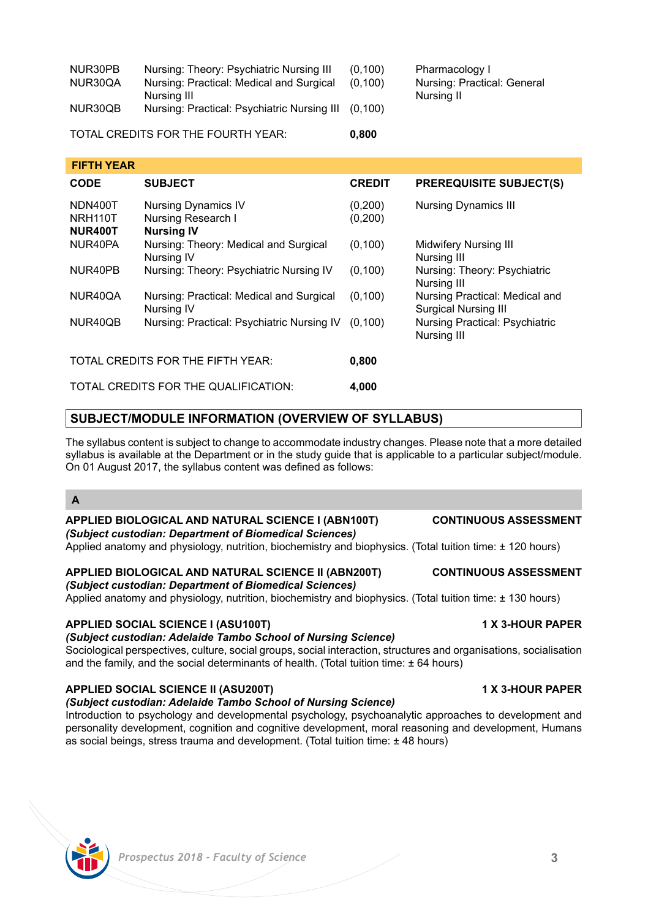| and peringer on oco nadirid dira developmenti potal tantol |  |  |  |  |
|------------------------------------------------------------|--|--|--|--|
|                                                            |  |  |  |  |
|                                                            |  |  |  |  |
|                                                            |  |  |  |  |

| NUR30PB | Nursing: Theory: Psychiatric Nursing III    | (0.100) | Pharmacology I              |
|---------|---------------------------------------------|---------|-----------------------------|
| NUR30QA | Nursing: Practical: Medical and Surgical    | (0.100) | Nursing: Practical: General |
|         | Nursina III                                 |         | Nursina II                  |
| NUR30QB | Nursing: Practical: Psychiatric Nursing III | (0.100) |                             |
|         |                                             |         |                             |

TOTAL CREDITS FOR THE FOURTH YEAR: **0,800**

| <b>FIFTH YEAR</b>             |                                                                       |                      |                                                        |
|-------------------------------|-----------------------------------------------------------------------|----------------------|--------------------------------------------------------|
| <b>CODE</b>                   | <b>SUBJECT</b>                                                        | <b>CREDIT</b>        | <b>PREREQUISITE SUBJECT(S)</b>                         |
| NDN400T<br>NRH110T<br>NUR400T | <b>Nursing Dynamics IV</b><br>Nursing Research I<br><b>Nursing IV</b> | (0, 200)<br>(0, 200) | <b>Nursing Dynamics III</b>                            |
| NUR40PA                       | Nursing: Theory: Medical and Surgical<br><b>Nursing IV</b>            | (0, 100)             | <b>Midwifery Nursing III</b><br>Nursing III            |
| NUR40PB                       | Nursing: Theory: Psychiatric Nursing IV                               | (0, 100)             | Nursing: Theory: Psychiatric<br>Nursing III            |
| NUR40QA                       | Nursing: Practical: Medical and Surgical<br>Nursing IV                | (0, 100)             | Nursing Practical: Medical and<br>Surgical Nursing III |
| NUR40QB                       | Nursing: Practical: Psychiatric Nursing IV                            | (0.100)              | Nursing Practical: Psychiatric<br>Nursing III          |
|                               | TOTAL CREDITS FOR THE FIFTH YEAR:                                     | 0.800                |                                                        |
|                               | TOTAL CREDITS FOR THE QUALIFICATION:                                  |                      |                                                        |

# **SUBJECT/MODULE INFORMATION (OVERVIEW OF SYLLABUS)**

The syllabus content is subject to change to accommodate industry changes. Please note that a more detailed syllabus is available at the Department or in the study guide that is applicable to a particular subject/module. On 01 August 2017, the syllabus content was defined as follows:

# **A**

### **APPLIED BIOLOGICAL AND NATURAL SCIENCE I (ABN100T) CONTINUOUS ASSESSMENT** *(Subject custodian: Department of Biomedical Sciences)*

Applied anatomy and physiology, nutrition, biochemistry and biophysics. (Total tuition time: ± 120 hours)

# **APPLIED BIOLOGICAL AND NATURAL SCIENCE II (ABN200T) CONTINUOUS ASSESSMENT**

*(Subject custodian: Department of Biomedical Sciences)*

Applied anatomy and physiology, nutrition, biochemistry and biophysics. (Total tuition time: ± 130 hours)

# **APPLIED SOCIAL SCIENCE I (ASU100T) 1 X 3-HOUR PAPER**

*(Subject custodian: Adelaide Tambo School of Nursing Science)*

Sociological perspectives, culture, social groups, social interaction, structures and organisations, socialisation and the family, and the social determinants of health. (Total tuition time:  $+64$  hours)

# **APPLIED SOCIAL SCIENCE II (ASU200T) 1 X 3-HOUR PAPER**

*(Subject custodian: Adelaide Tambo School of Nursing Science)* Introduction to psychology and developmental psychology, psychoanalytic approaches to development and personality development, cognition and cognitive development, moral reasoning and development, Humans as social beings, stress trauma and development. (Total tuition time: ± 48 hours)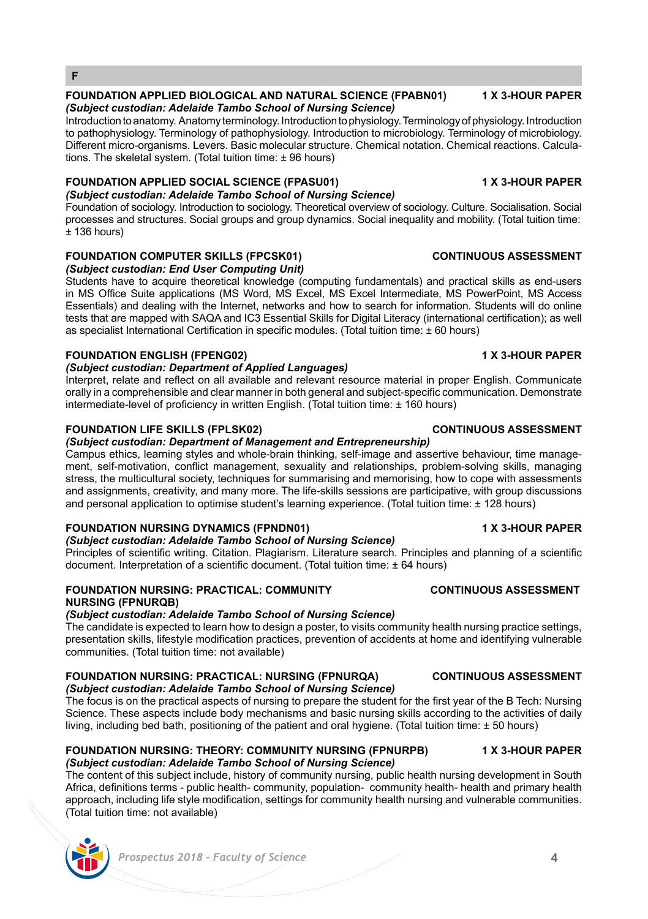### **FOUNDATION APPLIED BIOLOGICAL AND NATURAL SCIENCE (FPABN01) 1 X 3-HOUR PAPER** *(Subject custodian: Adelaide Tambo School of Nursing Science)*

Introduction to anatomy. Anatomy terminology. Introduction to physiology. Terminology of physiology. Introduction to pathophysiology. Terminology of pathophysiology. Introduction to microbiology. Terminology of microbiology. Different micro-organisms. Levers. Basic molecular structure. Chemical notation. Chemical reactions. Calculations. The skeletal system. (Total tuition time: ± 96 hours)

# **FOUNDATION APPLIED SOCIAL SCIENCE (FPASU01) 1 X 3-HOUR PAPER**

*(Subject custodian: Adelaide Tambo School of Nursing Science)*  Foundation of sociology. Introduction to sociology. Theoretical overview of sociology. Culture. Socialisation. Social processes and structures. Social groups and group dynamics. Social inequality and mobility. (Total tuition time:  $± 136$  hours)

# **FOUNDATION COMPUTER SKILLS (FPCSK01) CONTINUOUS ASSESSMENT**

*(Subject custodian: End User Computing Unit)*

Students have to acquire theoretical knowledge (computing fundamentals) and practical skills as end-users in MS Office Suite applications (MS Word, MS Excel, MS Excel Intermediate, MS PowerPoint, MS Access Essentials) and dealing with the Internet, networks and how to search for information. Students will do online tests that are mapped with SAQA and IC3 Essential Skills for Digital Literacy (international certification); as well as specialist International Certification in specific modules. (Total tuition time: ± 60 hours)

# **FOUNDATION ENGLISH (FPENG02) 1 X 3-HOUR PAPER**

**F**

# *(Subject custodian: Department of Applied Languages)*

Interpret, relate and reflect on all available and relevant resource material in proper English. Communicate orally in a comprehensible and clear manner in both general and subject-specific communication. Demonstrate intermediate-level of proficiency in written English. (Total tuition time: ± 160 hours)

# **FOUNDATION LIFE SKILLS (FPLSK02) CONTINUOUS ASSESSMENT**

# *(Subject custodian: Department of Management and Entrepreneurship)*

Campus ethics, learning styles and whole-brain thinking, self-image and assertive behaviour, time management, self-motivation, conflict management, sexuality and relationships, problem-solving skills, managing stress, the multicultural society, techniques for summarising and memorising, how to cope with assessments and assignments, creativity, and many more. The life-skills sessions are participative, with group discussions and personal application to optimise student's learning experience. (Total tuition time: ± 128 hours)

# **FOUNDATION NURSING DYNAMICS (FPNDN01) 1 X 3-HOUR PAPER**

# *(Subject custodian: Adelaide Tambo School of Nursing Science)*

Principles of scientific writing. Citation. Plagiarism. Literature search. Principles and planning of a scientific document. Interpretation of a scientific document. (Total tuition time: ± 64 hours)

# **FOUNDATION NURSING: PRACTICAL: COMMUNITY CONTINUOUS ASSESSMENT NURSING (FPNURQB)**

# *(Subject custodian: Adelaide Tambo School of Nursing Science)*

The candidate is expected to learn how to design a poster, to visits community health nursing practice settings, presentation skills, lifestyle modification practices, prevention of accidents at home and identifying vulnerable communities. (Total tuition time: not available)

### **FOUNDATION NURSING: PRACTICAL: NURSING (FPNURQA) CONTINUOUS ASSESSMENT** *(Subject custodian: Adelaide Tambo School of Nursing Science)*

The focus is on the practical aspects of nursing to prepare the student for the first year of the B Tech: Nursing Science. These aspects include body mechanisms and basic nursing skills according to the activities of daily living, including bed bath, positioning of the patient and oral hygiene. (Total tuition time: ± 50 hours)

# **FOUNDATION NURSING: THEORY: COMMUNITY NURSING (FPNURPB) 1 X 3-HOUR PAPER** *(Subject custodian: Adelaide Tambo School of Nursing Science)*

The content of this subject include, history of community nursing, public health nursing development in South Africa, definitions terms - public health- community, population- community health- health and primary health approach, including life style modification, settings for community health nursing and vulnerable communities. (Total tuition time: not available)

# *Prospectus 2018 - Faculty of Science* **4**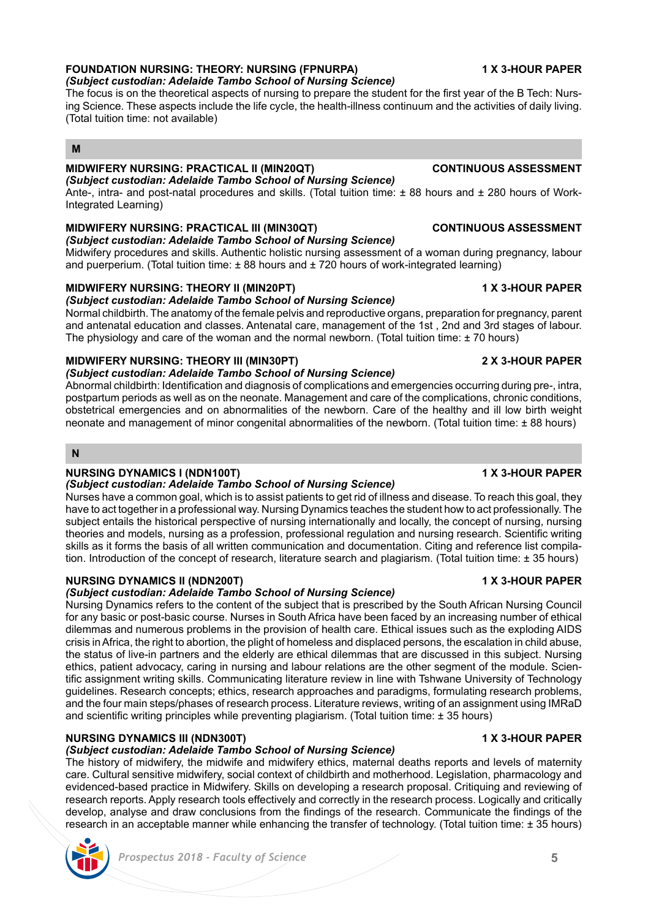### **FOUNDATION NURSING: THEORY: NURSING (FPNURPA) 1 X 3-HOUR PAPER** *(Subject custodian: Adelaide Tambo School of Nursing Science)*

The focus is on the theoretical aspects of nursing to prepare the student for the first year of the B Tech: Nursing Science. These aspects include the life cycle, the health-illness continuum and the activities of daily living. (Total tuition time: not available)

# **M**

# **MIDWIFERY NURSING: PRACTICAL II (MIN20QT) CONTINUOUS ASSESSMENT**

*(Subject custodian: Adelaide Tambo School of Nursing Science)* Ante-, intra- and post-natal procedures and skills. (Total tuition time: ± 88 hours and ± 280 hours of Work-Integrated Learning)

# **MIDWIFERY NURSING: PRACTICAL III (MIN30QT) CONTINUOUS ASSESSMENT**

*(Subject custodian: Adelaide Tambo School of Nursing Science)* Midwifery procedures and skills. Authentic holistic nursing assessment of a woman during pregnancy, labour and puerperium. (Total tuition time: +88 hours and +720 hours of work-integrated learning)

# **MIDWIFERY NURSING: THEORY II (MIN20PT) 1 X 3-HOUR PAPER**

# *(Subject custodian: Adelaide Tambo School of Nursing Science)*

Normal childbirth. The anatomy of the female pelvis and reproductive organs, preparation for pregnancy, parent and antenatal education and classes. Antenatal care, management of the 1st , 2nd and 3rd stages of labour. The physiology and care of the woman and the normal newborn. (Total tuition time:  $\pm$  70 hours)

# **MIDWIFERY NURSING: THEORY III (MIN30PT) 2 X 3-HOUR PAPER**

### *(Subject custodian: Adelaide Tambo School of Nursing Science)*

Abnormal childbirth: Identification and diagnosis of complications and emergencies occurring during pre-, intra, postpartum periods as well as on the neonate. Management and care of the complications, chronic conditions, obstetrical emergencies and on abnormalities of the newborn. Care of the healthy and ill low birth weight neonate and management of minor congenital abnormalities of the newborn. (Total tuition time: ± 88 hours)

# **N**

# **NURSING DYNAMICS I (NDN100T) 1 X 3-HOUR PAPER**

# *(Subject custodian: Adelaide Tambo School of Nursing Science)*

Nurses have a common goal, which is to assist patients to get rid of illness and disease. To reach this goal, they have to act together in a professional way. Nursing Dynamics teaches the student how to act professionally. The subject entails the historical perspective of nursing internationally and locally, the concept of nursing, nursing theories and models, nursing as a profession, professional regulation and nursing research. Scientific writing skills as it forms the basis of all written communication and documentation. Citing and reference list compilation. Introduction of the concept of research, literature search and plagiarism. (Total tuition time: ± 35 hours)

# **NURSING DYNAMICS II (NDN200T) 1 X 3-HOUR PAPER**

# *(Subject custodian: Adelaide Tambo School of Nursing Science)*

Nursing Dynamics refers to the content of the subject that is prescribed by the South African Nursing Council for any basic or post-basic course. Nurses in South Africa have been faced by an increasing number of ethical dilemmas and numerous problems in the provision of health care. Ethical issues such as the exploding AIDS crisis in Africa, the right to abortion, the plight of homeless and displaced persons, the escalation in child abuse, the status of live-in partners and the elderly are ethical dilemmas that are discussed in this subject. Nursing ethics, patient advocacy, caring in nursing and labour relations are the other segment of the module. Scientific assignment writing skills. Communicating literature review in line with Tshwane University of Technology guidelines. Research concepts; ethics, research approaches and paradigms, formulating research problems, and the four main steps/phases of research process. Literature reviews, writing of an assignment using IMRaD and scientific writing principles while preventing plagiarism. (Total tuition time: ± 35 hours)

# **NURSING DYNAMICS III (NDN300T) 1 X 3-HOUR PAPER**

# *(Subject custodian: Adelaide Tambo School of Nursing Science)*

The history of midwifery, the midwife and midwifery ethics, maternal deaths reports and levels of maternity care. Cultural sensitive midwifery, social context of childbirth and motherhood. Legislation, pharmacology and evidenced-based practice in Midwifery. Skills on developing a research proposal. Critiquing and reviewing of research reports. Apply research tools effectively and correctly in the research process. Logically and critically develop, analyse and draw conclusions from the findings of the research. Communicate the findings of the research in an acceptable manner while enhancing the transfer of technology. (Total tuition time: ± 35 hours)

# *Prospectus 2018 - Faculty of Science* **5**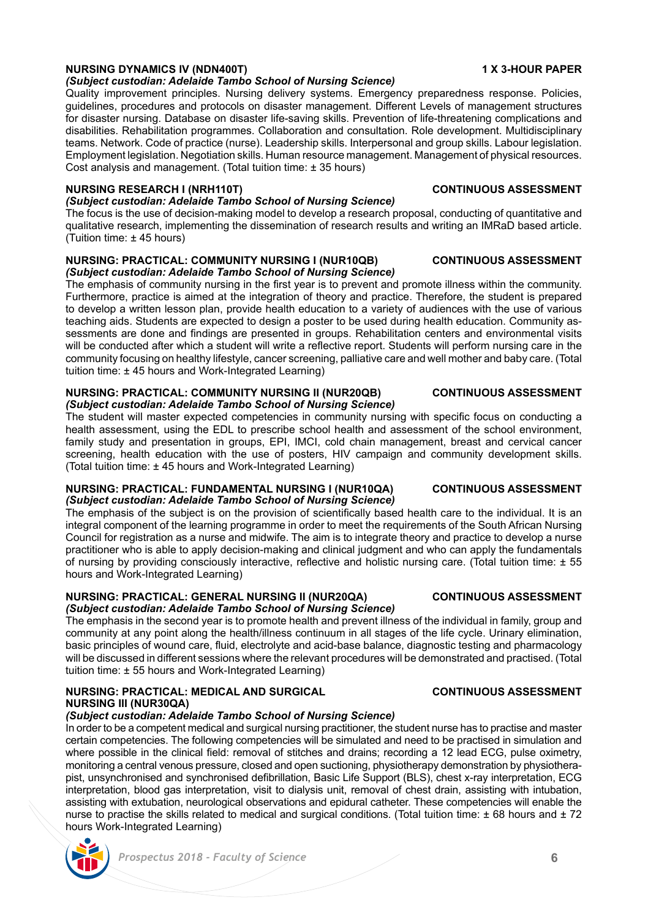# **NURSING DYNAMICS IV (NDN400T) 1 X 3-HOUR PAPER** *(Subject custodian: Adelaide Tambo School of Nursing Science)*

Quality improvement principles. Nursing delivery systems. Emergency preparedness response. Policies, guidelines, procedures and protocols on disaster management. Different Levels of management structures for disaster nursing. Database on disaster life-saving skills. Prevention of life-threatening complications and disabilities. Rehabilitation programmes. Collaboration and consultation. Role development. Multidisciplinary teams. Network. Code of practice (nurse). Leadership skills. Interpersonal and group skills. Labour legislation. Employment legislation. Negotiation skills. Human resource management. Management of physical resources. Cost analysis and management. (Total tuition time: ± 35 hours)

# **NURSING RESEARCH I (NRH110T) CONTINUOUS ASSESSMENT**

### *(Subject custodian: Adelaide Tambo School of Nursing Science)* The focus is the use of decision-making model to develop a research proposal, conducting of quantitative and

qualitative research, implementing the dissemination of research results and writing an IMRaD based article. (Tuition time: ± 45 hours)

### **NURSING: PRACTICAL: COMMUNITY NURSING I (NUR10QB) CONTINUOUS ASSESSMENT** *(Subject custodian: Adelaide Tambo School of Nursing Science)*

The emphasis of community nursing in the first year is to prevent and promote illness within the community. Furthermore, practice is aimed at the integration of theory and practice. Therefore, the student is prepared to develop a written lesson plan, provide health education to a variety of audiences with the use of various teaching aids. Students are expected to design a poster to be used during health education. Community assessments are done and findings are presented in groups. Rehabilitation centers and environmental visits will be conducted after which a student will write a reflective report. Students will perform nursing care in the community focusing on healthy lifestyle, cancer screening, palliative care and well mother and baby care. (Total tuition time: ± 45 hours and Work-Integrated Learning)

### **NURSING: PRACTICAL: COMMUNITY NURSING II (NUR20QB) CONTINUOUS ASSESSMENT** *(Subject custodian: Adelaide Tambo School of Nursing Science)*

The student will master expected competencies in community nursing with specific focus on conducting a health assessment, using the EDL to prescribe school health and assessment of the school environment, family study and presentation in groups, EPI, IMCI, cold chain management, breast and cervical cancer screening, health education with the use of posters, HIV campaign and community development skills. (Total tuition time: ± 45 hours and Work-Integrated Learning)

### **NURSING: PRACTICAL: FUNDAMENTAL NURSING I (NUR10QA) CONTINUOUS ASSESSMENT** *(Subject custodian: Adelaide Tambo School of Nursing Science)*

The emphasis of the subject is on the provision of scientifically based health care to the individual. It is an integral component of the learning programme in order to meet the requirements of the South African Nursing Council for registration as a nurse and midwife. The aim is to integrate theory and practice to develop a nurse practitioner who is able to apply decision-making and clinical judgment and who can apply the fundamentals of nursing by providing consciously interactive, reflective and holistic nursing care. (Total tuition time: ± 55 hours and Work-Integrated Learning)

### **NURSING: PRACTICAL: GENERAL NURSING II (NUR20QA) CONTINUOUS ASSESSMENT** *(Subject custodian: Adelaide Tambo School of Nursing Science)*

The emphasis in the second year is to promote health and prevent illness of the individual in family, group and community at any point along the health/illness continuum in all stages of the life cycle. Urinary elimination, basic principles of wound care, fluid, electrolyte and acid-base balance, diagnostic testing and pharmacology will be discussed in different sessions where the relevant procedures will be demonstrated and practised. (Total tuition time: ± 55 hours and Work-Integrated Learning)

# **NURSING: PRACTICAL: MEDICAL AND SURGICAL CONTINUOUS ASSESSMENT NURSING III (NUR30QA)**

# *(Subject custodian: Adelaide Tambo School of Nursing Science)*

In order to be a competent medical and surgical nursing practitioner, the student nurse has to practise and master certain competencies. The following competencies will be simulated and need to be practised in simulation and where possible in the clinical field: removal of stitches and drains; recording a 12 lead ECG, pulse oximetry, monitoring a central venous pressure, closed and open suctioning, physiotherapy demonstration by physiotherapist, unsynchronised and synchronised defibrillation, Basic Life Support (BLS), chest x-ray interpretation, ECG interpretation, blood gas interpretation, visit to dialysis unit, removal of chest drain, assisting with intubation, assisting with extubation, neurological observations and epidural catheter. These competencies will enable the nurse to practise the skills related to medical and surgical conditions. (Total tuition time:  $\pm$  68 hours and  $\pm$  72 hours Work-Integrated Learning)



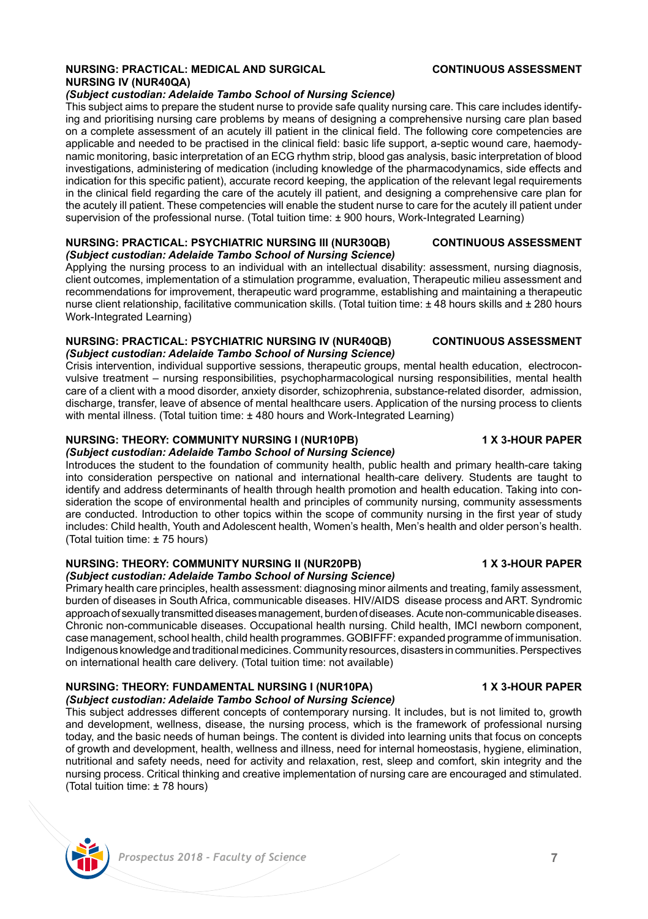# **NURSING: PRACTICAL: MEDICAL AND SURGICAL CONTINUOUS ASSESSMENT NURSING IV (NUR40QA)**

### *(Subject custodian: Adelaide Tambo School of Nursing Science)*

This subject aims to prepare the student nurse to provide safe quality nursing care. This care includes identifying and prioritising nursing care problems by means of designing a comprehensive nursing care plan based on a complete assessment of an acutely ill patient in the clinical field. The following core competencies are applicable and needed to be practised in the clinical field: basic life support, a-septic wound care, haemodynamic monitoring, basic interpretation of an ECG rhythm strip, blood gas analysis, basic interpretation of blood investigations, administering of medication (including knowledge of the pharmacodynamics, side effects and indication for this specific patient), accurate record keeping, the application of the relevant legal requirements in the clinical field regarding the care of the acutely ill patient, and designing a comprehensive care plan for the acutely ill patient. These competencies will enable the student nurse to care for the acutely ill patient under supervision of the professional nurse. (Total tuition time: ± 900 hours, Work-Integrated Learning)

### **NURSING: PRACTICAL: PSYCHIATRIC NURSING III (NUR30QB) CONTINUOUS ASSESSMENT** *(Subject custodian: Adelaide Tambo School of Nursing Science)*

Applying the nursing process to an individual with an intellectual disability: assessment, nursing diagnosis, client outcomes, implementation of a stimulation programme, evaluation, Therapeutic milieu assessment and recommendations for improvement, therapeutic ward programme, establishing and maintaining a therapeutic nurse client relationship, facilitative communication skills. (Total tuition time: ± 48 hours skills and ± 280 hours Work-Integrated Learning)

### **NURSING: PRACTICAL: PSYCHIATRIC NURSING IV (NUR40QB) CONTINUOUS ASSESSMENT** *(Subject custodian: Adelaide Tambo School of Nursing Science)*

Crisis intervention, individual supportive sessions, therapeutic groups, mental health education, electroconvulsive treatment – nursing responsibilities, psychopharmacological nursing responsibilities, mental health care of a client with a mood disorder, anxiety disorder, schizophrenia, substance-related disorder, admission, discharge, transfer, leave of absence of mental healthcare users. Application of the nursing process to clients with mental illness. (Total tuition time: ± 480 hours and Work-Integrated Learning)

# **NURSING: THEORY: COMMUNITY NURSING I (NUR10PB) 1 X 3-HOUR PAPER**

*(Subject custodian: Adelaide Tambo School of Nursing Science)* Introduces the student to the foundation of community health, public health and primary health-care taking into consideration perspective on national and international health-care delivery. Students are taught to identify and address determinants of health through health promotion and health education. Taking into consideration the scope of environmental health and principles of community nursing, community assessments are conducted. Introduction to other topics within the scope of community nursing in the first year of study includes: Child health, Youth and Adolescent health, Women's health, Men's health and older person's health. (Total tuition time: ± 75 hours)

### **NURSING: THEORY: COMMUNITY NURSING II (NUR20PB) 1 X 3-HOUR PAPER** *(Subject custodian: Adelaide Tambo School of Nursing Science)*

Primary health care principles, health assessment: diagnosing minor ailments and treating, family assessment, burden of diseases in South Africa, communicable diseases. HIV/AIDS disease process and ART. Syndromic approach of sexually transmitted diseases management, burden of diseases. Acute non-communicable diseases. Chronic non-communicable diseases. Occupational health nursing. Child health, IMCI newborn component, case management, school health, child health programmes. GOBIFFF: expanded programme of immunisation. Indigenous knowledge and traditional medicines. Community resources, disasters in communities. Perspectives on international health care delivery. (Total tuition time: not available)

# **NURSING: THEORY: FUNDAMENTAL NURSING I (NUR10PA) 1 X 3-HOUR PAPER** *(Subject custodian: Adelaide Tambo School of Nursing Science)*

This subject addresses different concepts of contemporary nursing. It includes, but is not limited to, growth and development, wellness, disease, the nursing process, which is the framework of professional nursing today, and the basic needs of human beings. The content is divided into learning units that focus on concepts of growth and development, health, wellness and illness, need for internal homeostasis, hygiene, elimination, nutritional and safety needs, need for activity and relaxation, rest, sleep and comfort, skin integrity and the nursing process. Critical thinking and creative implementation of nursing care are encouraged and stimulated. (Total tuition time: ± 78 hours)